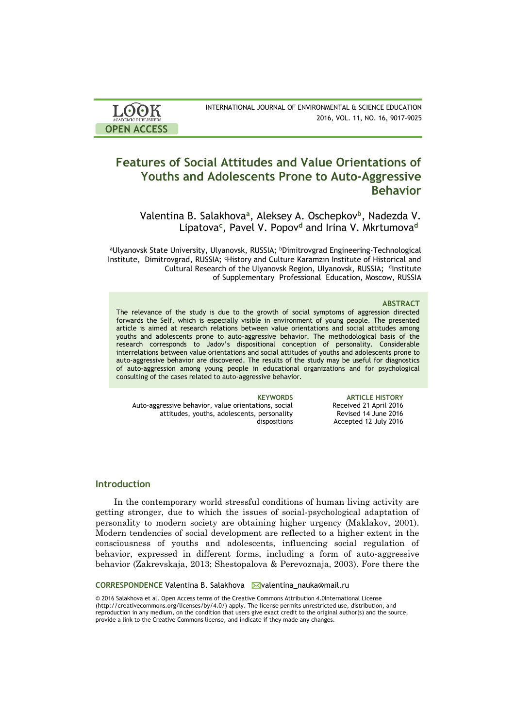| <b>LOOK</b>                | INTERNATIONAL JOURNAL OF ENVIRONMENTAL & SCIENCE EDUCATION |
|----------------------------|------------------------------------------------------------|
| <b>ACADEMIC PUBLISHERS</b> | 2016, VOL. 11, NO. 16, 9017-9025                           |
| <b>OPEN ACCESS</b>         |                                                            |

# **Features of Social Attitudes and Value Orientations of Youths and Adolescents Prone to Auto-Aggressive Behavior**

Valentina B. Salakhova**<sup>a</sup>** , Aleksey A. Oschepkov**<sup>b</sup>** , Nadezda V. Lipatova**<sup>c</sup>** , Pavel V. Popov**<sup>d</sup>** and Irina V. Mkrtumova**<sup>d</sup>**

aUlyanovsk State University, Ulyanovsk, RUSSIA; bDimitrovgrad Engineering-Technological Institute, Dimitrovgrad, RUSSIA; <sup>с</sup>History and Culture Karamzin Institute of Historical and Cultural Research of the Ulyanovsk Region, Ulyanovsk, RUSSIA; dInstitute of Supplementary Professional Education, Moscow, RUSSIA

### **ABSTRACT**

Received 21 April 2016 Revised 14 June 2016 Accepted 12 July 2016

The relevance of the study is due to the growth of social symptoms of aggression directed forwards the Self, which is especially visible in environment of young people. The presented article is aimed at research relations between value orientations and social attitudes among youths and adolescents prone to auto-aggressive behavior. The methodological basis of the research corresponds to Jadov's dispositional conception of personality. Considerable interrelations between value orientations and social attitudes of youths and adolescents prone to auto-aggressive behavior are discovered. The results of the study may be useful for diagnostics of auto-aggression among young people in educational organizations and for psychological consulting of the cases related to auto-aggressive behavior.

**KEYWORDS ARTICLE HISTORY** Auto-aggressive behavior, value orientations, social attitudes, youths, adolescents, personality dispositions

### **Introduction**

In the contemporary world stressful conditions of human living activity are getting stronger, due to which the issues of social-psychological adaptation of personality to modern society are obtaining higher urgency (Maklakov, 2001). Modern tendencies of social development are reflected to a higher extent in the consciousness of youths and adolescents, influencing social regulation of behavior, expressed in different forms, including a form of auto-aggressive behavior (Zakrevskaja, 2013; Shestopalova & Perevoznaja, 2003). Fore there the

**CORRESPONDENCE Valentina B. Salakhova Myalentina nauka@mail.ru** 

© 2016 Salakhova et al. Open Access terms of the Creative Commons Attribution 4.0International License (http://creativecommons.org/licenses/by/4.0/) apply. The license permits unrestricted use, distribution, and reproduction in any medium, on the condition that users give exact credit to the original author(s) and the source, provide a link to the Creative Commons license, and indicate if they made any changes.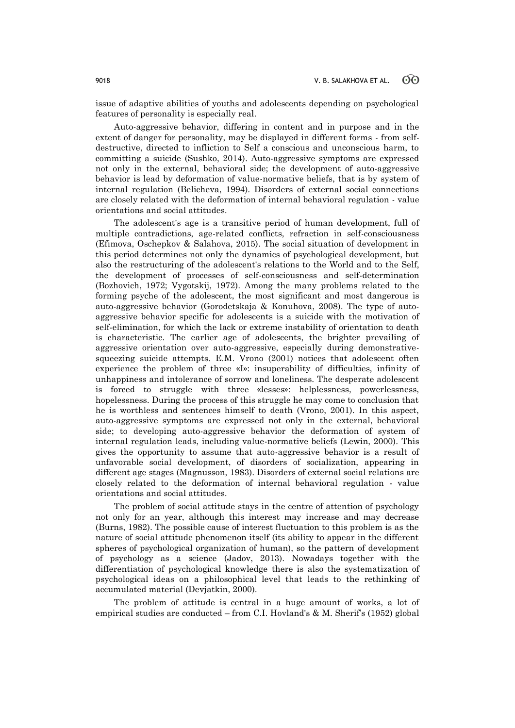issue of adaptive abilities of youths and adolescents depending on psychological features of personality is especially real.

Auto-aggressive behavior, differing in content and in purpose and in the extent of danger for personality, may be displayed in different forms - from selfdestructive, directed to infliction to Self a conscious and unconscious harm, to committing a suicide (Sushko, 2014). Auto-aggressive symptoms are expressed not only in the external, behavioral side; the development of auto-aggressive behavior is lead by deformation of value-normative beliefs, that is by system of internal regulation (Belicheva, 1994). Disorders of external social connections are closely related with the deformation of internal behavioral regulation - value orientations and social attitudes.

The adolescent's age is a transitive period of human development, full of multiple contradictions, age-related conflicts, refraction in self-consciousness (Efimova, Oschepkov & Salahova, 2015). The social situation of development in this period determines not only the dynamics of psychological development, but also the restructuring of the adolescent's relations to the World and to the Self, the development of processes of self-consciousness and self-determination (Bozhovich, 1972; Vygotskij, 1972). Among the many problems related to the forming psyche of the adolescent, the most significant and most dangerous is auto-aggressive behavior (Gorodetskaja & Konuhova, 2008). The type of autoaggressive behavior specific for adolescents is a suicide with the motivation of self-elimination, for which the lack or extreme instability of orientation to death is characteristic. The earlier age of adolescents, the brighter prevailing of aggressive orientation over auto-aggressive, especially during demonstrativesqueezing suicide attempts. E.M. Vrono (2001) notices that adolescent often experience the problem of three «I»: insuperability of difficulties, infinity of unhappiness and intolerance of sorrow and loneliness. The desperate adolescent is forced to struggle with three «lesses»: helplessness, powerlessness, hopelessness. During the process of this struggle he may come to conclusion that he is worthless and sentences himself to death (Vrono, 2001). In this aspect, auto-aggressive symptoms are expressed not only in the external, behavioral side; to developing auto-aggressive behavior the deformation of system of internal regulation leads, including value-normative beliefs (Lewin, 2000). This gives the opportunity to assume that auto-aggressive behavior is a result of unfavorable social development, of disorders of socialization, appearing in different age stages (Magnusson, 1983). Disorders of external social relations are closely related to the deformation of internal behavioral regulation - value orientations and social attitudes.

The problem of social attitude stays in the centre of attention of psychology not only for an year, although this interest may increase and may decrease (Burns, 1982). The possible cause of interest fluctuation to this problem is as the nature of social attitude phenomenon itself (its ability to appear in the different spheres of psychological organization of human), so the pattern of development of psychology as a science (Jadov, 2013). Nowadays together with the differentiation of psychological knowledge there is also the systematization of psychological ideas on a philosophical level that leads to the rethinking of accumulated material (Devjatkin, 2000).

The problem of attitude is central in a huge amount of works, a lot of empirical studies are conducted – from C.I. Hovland's  $\&$  M. Sherif's (1952) global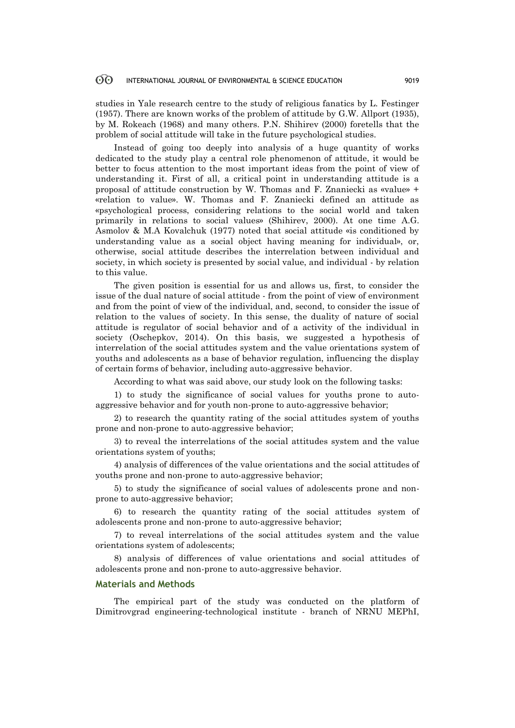studies in Yale research centre to the study of religious fanatics by L. Festinger (1957). There are known works of the problem of attitude by G.W. Allport (1935), by M. Rokeach (1968) and many others. P.N. Shihirev (2000) foretells that the problem of social attitude will take in the future psychological studies.

Instead of going too deeply into analysis of a huge quantity of works dedicated to the study play a central role phenomenon of attitude, it would be better to focus attention to the most important ideas from the point of view of understanding it. First of all, a critical point in understanding attitude is a proposal of attitude construction by W. Thomas and F. Znaniecki as «value» + «relation to value». W. Thomas and F. Znaniecki defined an attitude as «psychological process, considering relations to the social world and taken primarily in relations to social values» (Shihirev, 2000). At one time A.G. Asmolov & M.A Kovalchuk (1977) noted that social attitude «is conditioned by understanding value as a social object having meaning for individual», or, otherwise, social attitude describes the interrelation between individual and society, in which society is presented by social value, and individual - by relation to this value.

The given position is essential for us and allows us, first, to consider the issue of the dual nature of social attitude - from the point of view of environment and from the point of view of the individual, and, second, to consider the issue of relation to the values of society. In this sense, the duality of nature of social attitude is regulator of social behavior and of a activity of the individual in society (Oschepkov, 2014). On this basis, we suggested a hypothesis of interrelation of the social attitudes system and the value orientations system of youths and adolescents as a base of behavior regulation, influencing the display of certain forms of behavior, including auto-aggressive behavior.

According to what was said above, our study look on the following tasks:

1) to study the significance of social values for youths prone to autoaggressive behavior and for youth non-prone to auto-aggressive behavior;

2) to research the quantity rating of the social attitudes system of youths prone and non-prone to auto-aggressive behavior;

3) to reveal the interrelations of the social attitudes system and the value orientations system of youths;

4) analysis of differences of the value orientations and the social attitudes of youths prone and non-prone to auto-aggressive behavior;

5) to study the significance of social values of adolescents prone and nonprone to auto-aggressive behavior;

6) to research the quantity rating of the social attitudes system of adolescents prone and non-prone to auto-aggressive behavior;

7) to reveal interrelations of the social attitudes system and the value orientations system of adolescents;

8) analysis of differences of value orientations and social attitudes of adolescents prone and non-prone to auto-aggressive behavior.

### **Materials and Methods**

The empirical part of the study was conducted on the platform of Dimitrovgrad engineering-technological institute - branch of NRNU MEPhI,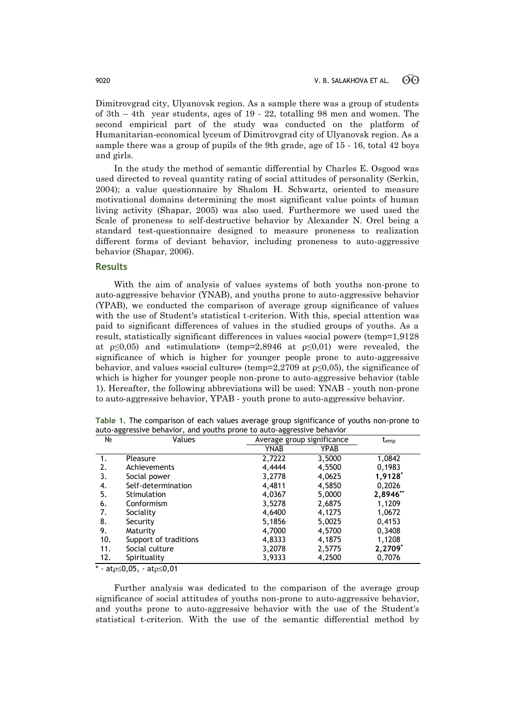Dimitrovgrad city, Ulyanovsk region. As a sample there was a group of students of 3th – 4th year students, ages of 19 - 22, totalling 98 men and women. The second empirical part of the study was conducted on the platform of Humanitarian-economical lyceum of Dimitrovgrad city of Ulyanovsk region. As a sample there was a group of pupils of the 9th grade, age of 15 - 16, total 42 boys and girls.

In the study the method of semantic differential by Charles E. Osgood was used directed to reveal quantity rating of social attitudes of personality (Serkin, 2004); a value questionnaire by Shalom H. Schwartz, oriented to measure motivational domains determining the most significant value points of human living activity (Shapar, 2005) was also used. Furthermore we used used the Scale of proneness to self-destructive behavior by Alexander N. Orel being a standard test-questionnaire designed to measure proneness to realization different forms of deviant behavior, including proneness to auto-aggressive behavior (Shapar, 2006).

## **Results**

With the aim of analysis of values systems of both youths non-prone to auto-aggressive behavior (YNAB), and youths prone to auto-aggressive behavior (YPAB), we conducted the comparison of average group significance of values with the use of Student's statistical t-criterion. With this, special attention was paid to significant differences of values in the studied groups of youths. As a result, statistically significant differences in values «social power» (temp=1,9128 at  $p\leq 0.05$ ) and «stimulation» (temp=2,8946 at  $p\leq 0.01$ ) were revealed, the significance of which is higher for younger people prone to auto-aggressive behavior, and values «social culture» (temp=2,2709 at  $p \le 0.05$ ), the significance of which is higher for younger people non-prone to auto-aggressive behavior (table 1). Hereafter, the following abbreviations will be used: YNAB - youth non-prone to auto-aggressive behavior, YPAB - youth prone to auto-aggressive behavior.

| Table 1. The comparison of each values average group significance of youths non-prone to |  |
|------------------------------------------------------------------------------------------|--|
| auto-aggressive behavior, and youths prone to auto-aggressive behavior                   |  |

| N <sub>2</sub> | Values                | Average group significance |        | $t_{emp}$ |
|----------------|-----------------------|----------------------------|--------|-----------|
|                |                       | YNAB                       | YPAB   |           |
|                | Pleasure              | 2,7222                     | 3,5000 | 1,0842    |
| 2.             | Achievements          | 4,4444                     | 4,5500 | 0,1983    |
| 3.             | Social power          | 3,2778                     | 4,0625 | 1,9128    |
| 4.             | Self-determination    | 4,4811                     | 4,5850 | 0,2026    |
| 5.             | Stimulation           | 4,0367                     | 5,0000 | 2,8946**  |
| 6.             | Conformism            | 3,5278                     | 2,6875 | 1,1209    |
| 7.             | Sociality             | 4,6400                     | 4,1275 | 1,0672    |
| 8.             | Security              | 5,1856                     | 5,0025 | 0,4153    |
| 9.             | Maturity              | 4,7000                     | 4,5700 | 0,3408    |
| 10.            | Support of traditions | 4,8333                     | 4,1875 | 1,1208    |
| 11.            | Social culture        | 3,2078                     | 2,5775 | 2,2709*   |
| 12.            | Spirituality          | 3,9333                     | 4,2500 | 0,7076    |
|                |                       |                            |        |           |

\* - at $p \le 0,05$ , - at $p \le 0,01$ 

Further analysis was dedicated to the comparison of the average group significance of social attitudes of youths non-prone to auto-aggressive behavior, and youths prone to auto-aggressive behavior with the use of the Student's statistical t-criterion. With the use of the semantic differential method by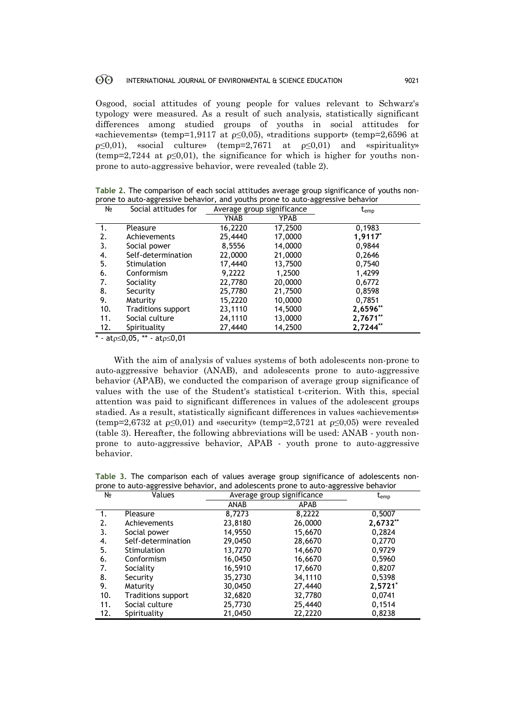Osgood, social attitudes of young people for values relevant to Schwarz's typology were measured. As a result of such analysis, statistically significant differences among studied groups of youths in social attitudes for «achievements» (temp=1,9117 at  $p \le 0,05$ ), «traditions support» (temp=2,6596 at  $p \leq 0.01$ ), «social culture» (temp=2,7671 at  $p \leq 0.01$ ) and «spirituality» (temp=2,7244 at  $\rho \le 0.01$ ), the significance for which is higher for youths nonprone to auto-aggressive behavior, were revealed (table 2).

**Table 2.** The comparison of each social attitudes average group significance of youths nonprone to auto-aggressive behavior, and youths prone to auto-aggressive behavior

| N <sub>2</sub> | Social attitudes for      | Average group significance |             | $t_{emp}$ |
|----------------|---------------------------|----------------------------|-------------|-----------|
|                |                           | YNAB                       | <b>YPAB</b> |           |
| 1.             | Pleasure                  | 16,2220                    | 17,2500     | 0,1983    |
| 2.             | Achievements              | 25,4440                    | 17,0000     | 1,9117*   |
| 3.             | Social power              | 8,5556                     | 14,0000     | 0,9844    |
| 4.             | Self-determination        | 22,0000                    | 21,0000     | 0,2646    |
| 5.             | Stimulation               | 17,4440                    | 13,7500     | 0,7540    |
| 6.             | Conformism                | 9,2222                     | 1,2500      | 1,4299    |
| 7.             | Sociality                 | 22,7780                    | 20,0000     | 0,6772    |
| 8.             | Security                  | 25,7780                    | 21,7500     | 0,8598    |
| 9.             | Maturity                  | 15,2220                    | 10,0000     | 0,7851    |
| 10.            | <b>Traditions support</b> | 23,1110                    | 14,5000     | 2,6596**  |
| 11.            | Social culture            | 24,1110                    | 13,0000     | 2,7671**  |
| 12.            | Spirituality              | 27,4440                    | 14,2500     | 2,7244**  |

\* - at $\rho \le 0.05$ , \*\* - at $\rho \le 0.01$ 

With the aim of analysis of values systems of both adolescents non-prone to auto-aggressive behavior (ANAB), and adolescents prone to auto-aggressive behavior (APAB), we conducted the comparison of average group significance of values with the use of the Student's statistical t-criterion. With this, special attention was paid to significant differences in values of the adolescent groups stadied. As a result, statistically significant differences in values «achievements» (temp=2,6732 at  $p<0.01$ ) and «security» (temp=2,5721 at  $p<0.05$ ) were revealed (table 3). Hereafter, the following abbreviations will be used: ANAB - youth nonprone to auto-aggressive behavior, APAB - youth prone to auto-aggressive behavior.

**Table 3.** The comparison each of values average group significance of adolescents nonprone to auto-aggressive behavior, and adolescents prone to auto-aggressive behavior

| N <sub>2</sub> | ັ<br>Values               | ۔ ت<br>Average group significance |             | $\mathsf{t}_{\mathsf{emp}}$ |
|----------------|---------------------------|-----------------------------------|-------------|-----------------------------|
|                |                           | ANAB                              | <b>APAB</b> |                             |
|                | Pleasure                  | 8,7273                            | 8,2222      | 0,5007                      |
| 2.             | Achievements              | 23,8180                           | 26,0000     | 2,6732**                    |
| 3.             | Social power              | 14,9550                           | 15,6670     | 0,2824                      |
| 4.             | Self-determination        | 29,0450                           | 28,6670     | 0,2770                      |
| 5.             | <b>Stimulation</b>        | 13,7270                           | 14,6670     | 0.9729                      |
| 6.             | Conformism                | 16,0450                           | 16,6670     | 0,5960                      |
| 7.             | Sociality                 | 16,5910                           | 17,6670     | 0,8207                      |
| 8.             | Security                  | 35,2730                           | 34,1110     | 0,5398                      |
| 9.             | Maturity                  | 30,0450                           | 27,4440     | $2,5721*$                   |
| 10.            | <b>Traditions support</b> | 32,6820                           | 32,7780     | 0,0741                      |
| 11.            | Social culture            | 25,7730                           | 25,4440     | 0,1514                      |
| 12.            | Spirituality              | 21,0450                           | 22,2220     | 0,8238                      |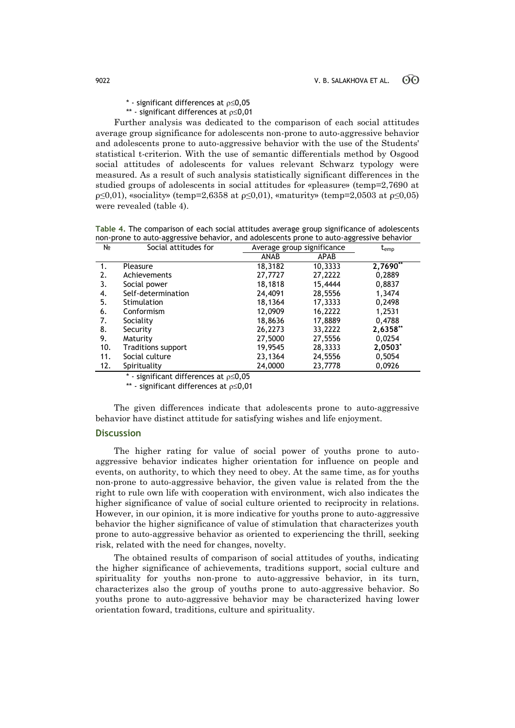- $*$  significant differences at  $p \le 0.05$
- \*\* significant differences at  $p \le 0,01$

Further analysis was dedicated to the comparison of each social attitudes average group significance for adolescents non-prone to auto-aggressive behavior and adolescents prone to auto-aggressive behavior with the use of the Students' statistical t-criterion. With the use of semantic differentials method by Osgood social attitudes of adolescents for values relevant Schwarz typology were measured. As a result of such analysis statistically significant differences in the studied groups of adolescents in social attitudes for «pleasure» (temp=2,7690 at ρ≤0,01), «sociality» (temp=2,6358 at ρ≤0,01), «maturity» (temp=2,0503 at ρ≤0,05) were revealed (table 4).

**Table 4.** The comparison of each social attitudes average group significance of adolescents non-prone to auto-aggressive behavior, and adolescents prone to auto-aggressive behavior

| N <sub>o</sub> | Social attitudes for      | Average group significance |         | t <sub>emp</sub> |
|----------------|---------------------------|----------------------------|---------|------------------|
|                |                           | ANAB                       | APAB    |                  |
| 1.             | Pleasure                  | 18,3182                    | 10,3333 | $2,7690**$       |
| 2.             | Achievements              | 27,7727                    | 27,2222 | 0,2889           |
| 3.             | Social power              | 18,1818                    | 15,4444 | 0,8837           |
| 4.             | Self-determination        | 24,4091                    | 28,5556 | 1,3474           |
| 5.             | Stimulation               | 18,1364                    | 17,3333 | 0,2498           |
| 6.             | Conformism                | 12,0909                    | 16,2222 | 1,2531           |
| 7.             | Sociality                 | 18,8636                    | 17,8889 | 0,4788           |
| 8.             | Security                  | 26,2273                    | 33,2222 | 2,6358**         |
| 9.             | Maturity                  | 27,5000                    | 27,5556 | 0,0254           |
| 10.            | <b>Traditions support</b> | 19,9545                    | 28,3333 | 2,0503*          |
| 11.            | Social culture            | 23,1364                    | 24,5556 | 0,5054           |
| 12.            | Spirituality              | 24,0000                    | 23,7778 | 0,0926           |
|                |                           | $ -$                       |         |                  |

 $*$  - significant differences at  $p \le 0.05$ 

\*\* - significant differences at  $p \le 0,01$ 

The given differences indicate that adolescents prone to auto-aggressive behavior have distinct attitude for satisfying wishes and life enjoyment.

## **Discussion**

The higher rating for value of social power of youths prone to autoaggressive behavior indicates higher orientation for influence on people and events, on authority, to which they need to obey. At the same time, as for youths non-prone to auto-aggressive behavior, the given value is related from the the right to rule own life with cooperation with environment, wich also indicates the higher significance of value of social culture oriented to reciprocity in relations. However, in our opinion, it is more indicative for youths prone to auto-aggressive behavior the higher significance of value of stimulation that characterizes youth prone to auto-aggressive behavior as oriented to experiencing the thrill, seeking risk, related with the need for changes, novelty.

The obtained results of comparison of social attitudes of youths, indicating the higher significance of achievements, traditions support, social culture and spirituality for youths non-prone to auto-aggressive behavior, in its turn, characterizes also the group of youths prone to auto-aggressive behavior. So youths prone to auto-aggressive behavior may be characterized having lower orientation foward, traditions, culture and spirituality.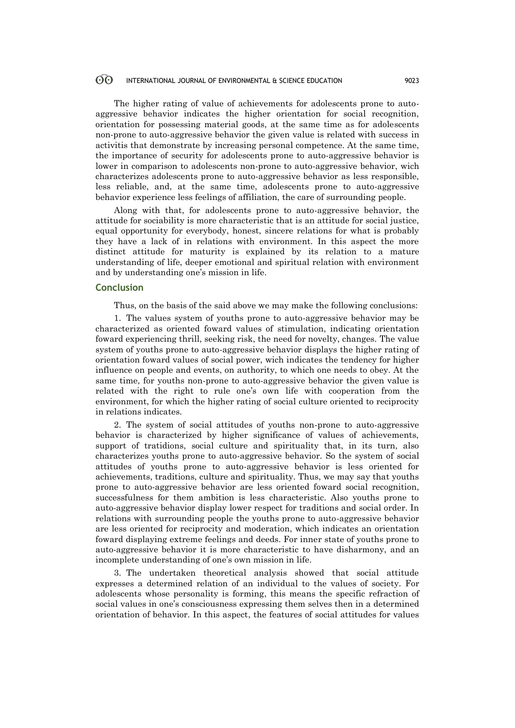The higher rating of value of achievements for adolescents prone to autoaggressive behavior indicates the higher orientation for social recognition, orientation for possessing material goods, at the same time as for adolescents non-prone to auto-aggressive behavior the given value is related with success in activitis that demonstrate by increasing personal competence. At the same time, the importance of security for adolescents prone to auto-aggressive behavior is lower in comparison to adolescents non-prone to auto-aggressive behavior, wich characterizes adolescents prone to auto-aggressive behavior as less responsible, less reliable, and, at the same time, adolescents prone to auto-aggressive behavior experience less feelings of affiliation, the care of surrounding people.

Along with that, for adolescents prone to auto-aggressive behavior, the attitude for sociability is more characteristic that is an attitude for social justice, equal opportunity for everybody, honest, sincere relations for what is probably they have a lack of in relations with environment. In this aspect the more distinct attitude for maturity is explained by its relation to a mature understanding of life, deeper emotional and spiritual relation with environment and by understanding one's mission in life.

### **Conclusion**

Thus, on the basis of the said above we may make the following conclusions:

1. The values system of youths prone to auto-aggressive behavior may be characterized as oriented foward values of stimulation, indicating orientation foward experiencing thrill, seeking risk, the need for novelty, changes. The value system of youths prone to auto-aggressive behavior displays the higher rating of orientation foward values of social power, wich indicates the tendency for higher influence on people and events, on authority, to which one needs to obey. At the same time, for youths non-prone to auto-aggressive behavior the given value is related with the right to rule one's own life with cooperation from the environment, for which the higher rating of social culture oriented to reciprocity in relations indicates.

2. The system of social attitudes of youths non-prone to auto-aggressive behavior is characterized by higher significance of values of achievements, support of tratidions, social culture and spirituality that, in its turn, also characterizes youths prone to auto-aggressive behavior. So the system of social attitudes of youths prone to auto-aggressive behavior is less oriented for achievements, traditions, culture and spirituality. Thus, we may say that youths prone to auto-aggressive behavior are less oriented foward social recognition, successfulness for them ambition is less characteristic. Also youths prone to auto-aggressive behavior display lower respect for traditions and social order. In relations with surrounding people the youths prone to auto-aggressive behavior are less oriented for reciprocity and moderation, which indicates an orientation foward displaying extreme feelings and deeds. For inner state of youths prone to auto-aggressive behavior it is more characteristic to have disharmony, and an incomplete understanding of one's own mission in life.

3. The undertaken theoretical analysis showed that social attitude expresses a determined relation of an individual to the values of society. For adolescents whose personality is forming, this means the specific refraction of social values in one's consciousness expressing them selves then in a determined orientation of behavior. In this aspect, the features of social attitudes for values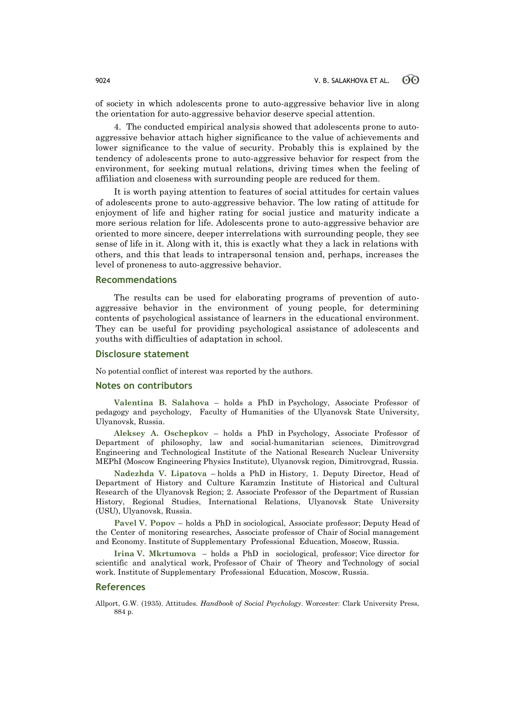of society in which adolescents prone to auto-aggressive behavior live in along the orientation for auto-aggressive behavior deserve special attention.

4. The conducted empirical analysis showed that adolescents prone to autoaggressive behavior attach higher significance to the value of achievements and lower significance to the value of security. Probably this is explained by the tendency of adolescents prone to auto-aggressive behavior for respect from the environment, for seeking mutual relations, driving times when the feeling of affiliation and closeness with surrounding people are reduced for them.

It is worth paying attention to features of social attitudes for certain values of adolescents prone to auto-aggressive behavior. The low rating of attitude for enjoyment of life and higher rating for social justice and maturity indicate a more serious relation for life. Adolescents prone to auto-aggressive behavior are oriented to more sincere, deeper interrelations with surrounding people, they see sense of life in it. Along with it, this is exactly what they a lack in relations with others, and this that leads to intrapersonal tension and, perhaps, increases the level of proneness to auto-aggressive behavior.

### **Recommendations**

The results can be used for elaborating programs of prevention of autoaggressive behavior in the environment of young people, for determining contents of psychological assistance of learners in the educational environment. They can be useful for providing psychological assistance of adolescents and youths with difficulties of adaptation in school.

### **Disclosure statement**

No potential conflict of interest was reported by the authors.

### **Notes on contributors**

**Valentina B. Salahova** – holds a PhD in Psychology, Associate Professor of pedagogy and psychology, Faculty of Humanities of the Ulyanovsk State University, Ulyanovsk, Russia.

**Aleksey A. Oschepkov** – holds a PhD in Psychology, Associate Professor of Department of philosophy, law and social-humanitarian sciences, Dimitrovgrad Engineering and Technological Institute of the National Research Nuclear University MEPhI (Moscow Engineering Physics Institute), Ulyanovsk region, Dimitrovgrad, Russia.

**Nadezhda V. Lipatova** – holds a PhD in History, 1. Deputy Director, Head of Department of History and Culture Karamzin Institute of Historical and Cultural Research of the Ulyanovsk Region; 2. Associate Professor of the Department of Russian History, Regional Studies, International Relations, Ulyanovsk State University (USU), Ulyanovsk, Russia.

**Pavel V. Popov** – holds a PhD in sociological, Associate professor; Deputy Head of the Center of monitoring researches, Associate professor of Chair of Social management and Economy. Institute of Supplementary Professional Education, Moscow, Russia.

**Irina V. Mkrtumova** – holds a PhD in sociological, professor; Vice director for scientific and analytical work, Professor of Chair of Theory and Technology of social work. Institute of Supplementary Professional Education, Moscow, Russia.

### **References**

Allport, G.W. (1935). Attitudes. *Handbook of Social Psychology*. Worcester: Clark University Press, 884 p.